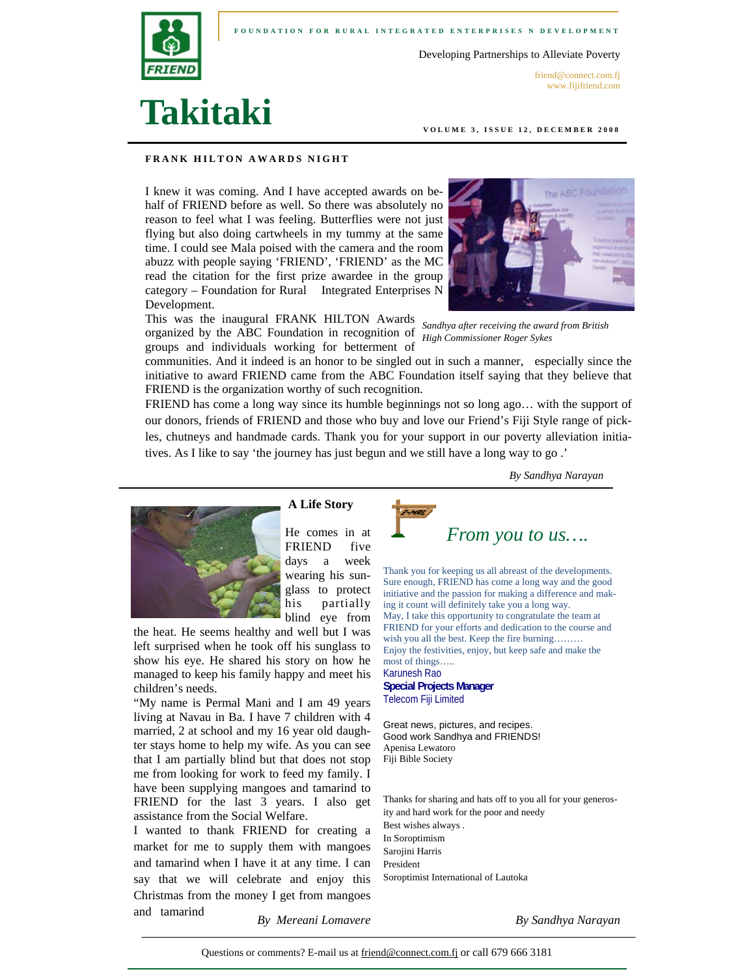

**FOUNDATION FOR RURAL INTEGRATED ENTERPRISES N DEVELOPMENT** 

Developing Partnerships to Alleviate Poverty

friend@connect.com.fj www.fijifriend.com

# **Takitaki**

**VOLUME 3, ISSUE 12, DECEMBER 2008** 

#### **FRANK HILTON AWARDS NIGHT**

I knew it was coming. And I have accepted awards on behalf of FRIEND before as well. So there was absolutely no reason to feel what I was feeling. Butterflies were not just flying but also doing cartwheels in my tummy at the same time. I could see Mala poised with the camera and the room abuzz with people saying 'FRIEND', 'FRIEND' as the MC read the citation for the first prize awardee in the group category – Foundation for Rural Integrated Enterprises N Development.



This was the inaugural FRANK HILTON Awards organized by the ABC Foundation in recognition of *High Commissioner Roger Sykes Sandhya after receiving the award from British* 

groups and individuals working for betterment of communities. And it indeed is an honor to be singled out in such a manner, especially since the initiative to award FRIEND came from the ABC Foundation itself saying that they believe that FRIEND is the organization worthy of such recognition.

FRIEND has come a long way since its humble beginnings not so long ago… with the support of our donors, friends of FRIEND and those who buy and love our Friend's Fiji Style range of pickles, chutneys and handmade cards. Thank you for your support in our poverty alleviation initiatives. As I like to say 'the journey has just begun and we still have a long way to go .'

*By Sandhya Narayan* 



 **A Life Story** 

He comes in at FRIEND five days a week wearing his sunglass to protect his partially blind eye from

the heat. He seems healthy and well but I was left surprised when he took off his sunglass to show his eye. He shared his story on how he managed to keep his family happy and meet his children's needs.

"My name is Permal Mani and I am 49 years living at Navau in Ba. I have 7 children with 4 married, 2 at school and my 16 year old daughter stays home to help my wife. As you can see that I am partially blind but that does not stop me from looking for work to feed my family. I have been supplying mangoes and tamarind to FRIEND for the last 3 years. I also get assistance from the Social Welfare.

I wanted to thank FRIEND for creating a market for me to supply them with mangoes and tamarind when I have it at any time. I can say that we will celebrate and enjoy this Christmas from the money I get from mangoes and tamarind



Thank you for keeping us all abreast of the developments. Sure enough, FRIEND has come a long way and the good initiative and the passion for making a difference and making it count will definitely take you a long way. May, I take this opportunity to congratulate the team at FRIEND for your efforts and dedication to the course and wish you all the best. Keep the fire burning……… Enjoy the festivities, enjoy, but keep safe and make the most of things….. Karunesh Rao **Special Projects Manager** Telecom Fiji Limited

Great news, pictures, and recipes. Good work Sandhya and FRIENDS! Apenisa Lewatoro Fiji Bible Society

Thanks for sharing and hats off to you all for your generosity and hard work for the poor and needy Best wishes always . In Soroptimism Sarojini Harris President Soroptimist International of Lautoka

*By Mereani Lomavere By Sandhya Narayan* 

Questions or comments? E-mail us at friend@connect.com.fj or call 679 666 3181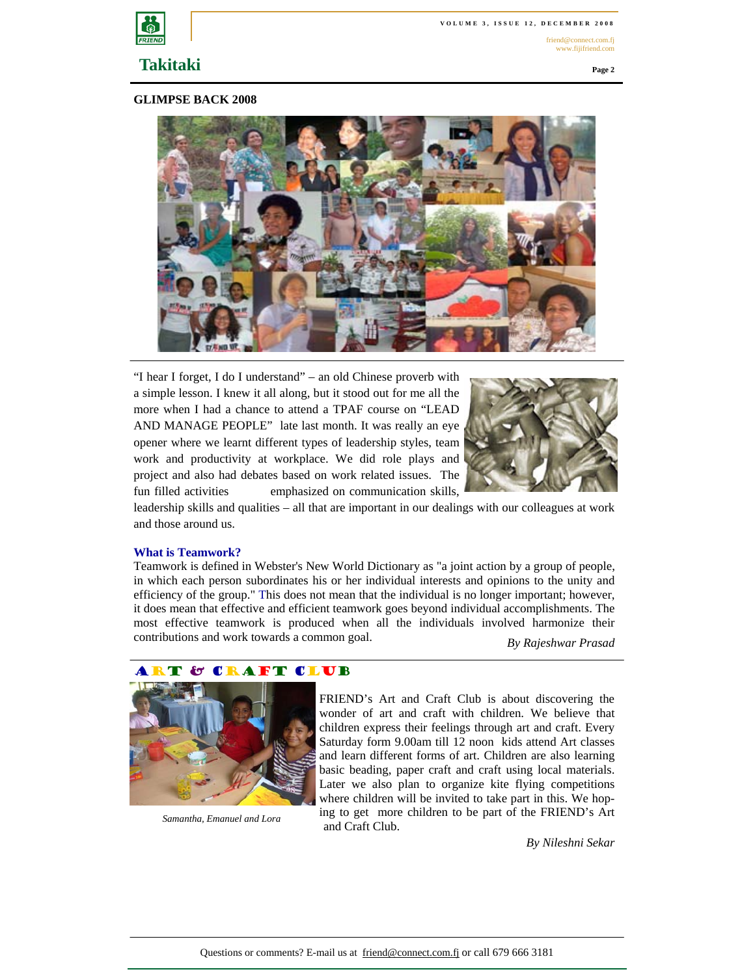

friend@connect.com.fj www.fijifriend.com

## **Takitaki**

**Page 2** 

#### **GLIMPSE BACK 2008**



"I hear I forget, I do I understand" – an old Chinese proverb with a simple lesson. I knew it all along, but it stood out for me all the more when I had a chance to attend a TPAF course on "LEAD AND MANAGE PEOPLE" late last month. It was really an eye opener where we learnt different types of leadership styles, team work and productivity at workplace. We did role plays and project and also had debates based on work related issues. The fun filled activities emphasized on communication skills,



leadership skills and qualities – all that are important in our dealings with our colleagues at work and those around us.

#### **What is Teamwork?**

Teamwork is defined in Webster's New World Dictionary as "a joint action by a group of people, in which each person subordinates his or her individual interests and opinions to the unity and efficiency of the group." This does not mean that the individual is no longer important; however, it does mean that effective and efficient teamwork goes beyond individual accomplishments. The most effective teamwork is produced when all the individuals involved harmonize their contributions and work towards a common goal. *By Rajeshwar Prasad* 



*Samantha, Emanuel and Lora* 

FRIEND's Art and Craft Club is about discovering the wonder of art and craft with children. We believe that children express their feelings through art and craft. Every Saturday form 9.00am till 12 noon kids attend Art classes and learn different forms of art. Children are also learning basic beading, paper craft and craft using local materials. Later we also plan to organize kite flying competitions where children will be invited to take part in this. We hoping to get more children to be part of the FRIEND's Art and Craft Club.

*By Nileshni Sekar*